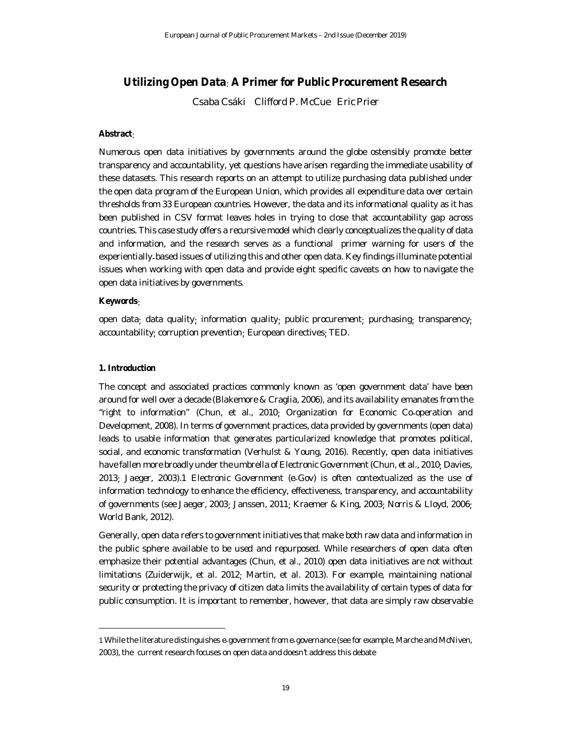# **Utilizing Open Data**: **A Primer for Public Procurement Research**

Csaba Csáki Clifford P. McCue Eric Prier

# **Abstract**:

Numerous open data initiatives by governments around the globe ostensibly promote better transparency and accountability, yet questions have arisen regarding the immediate usability of these datasets. This research reports on an attempt to utilize purchasing data published under the open data program of the European Union, which provides all expenditure data over certain thresholds from 33 European countries. However, the data and its informational quality as it has been published in CSV format leaves holes in trying to close that accountability gap across countries. This case study offers a recursive model which clearly conceptualizes the quality of data and information, and the research serves as a functional primer warning for users of the experientially-based issues of utilizing this and other open data. Key findings illuminate potential issues when working with open data and provide eight specific caveats on how to navigate the open data initiatives by governments.

# **Keywords**:

open data; data quality; information quality; public procurement; purchasing; transparency; accountability; corruption prevention; European directives; TED.

## **1. Introduction**

The concept and associated practices commonly known as 'open government data' have been around for well over a decade (Blakemore & Craglia, 2006), and its availability emanates from the "*right to information*" (Chun, et al., 2010; Organization for Economic Co-operation and Development, 2008). In terms of government practices, data provided by governments (open data) leads to usable information that generates particularized knowledge that promotes political, social, and economic transformation (Verhulst & Young, 2016). Recently, open data initiatives have fallen more broadly under the umbrella of Electronic Government (Chun, et al., 2010; Davies, 2013; Jaeger, 2003).1 Electronic Government (e-Gov) is often contextualized as the use of information technology to enhance the efficiency, effectiveness, transparency, and accountability of governments (see Jaeger, 2003; Janssen, 2011; Kraemer & King, 2003; Norris & Lloyd, 2006; World Bank, 2012).

Generally, open data refers to government initiatives that make both raw data and information in the public sphere available to be used and repurposed. While researchers of open data often emphasize their potential advantages (Chun, et al., 2010) open data initiatives are not without limitations (Zuiderwijk, et al. 2012; Martin, et al. 2013). For example, maintaining national security or protecting the privacy of citizen data limits the availability of certain types of data for public consumption. It is important to remember, however, that data are simply raw observable

<sup>1</sup> While the literature distinguishes e-government from e-governance (see for example, Marche and McNiven, 2003), the current research focuses on open data and doesn't address this debate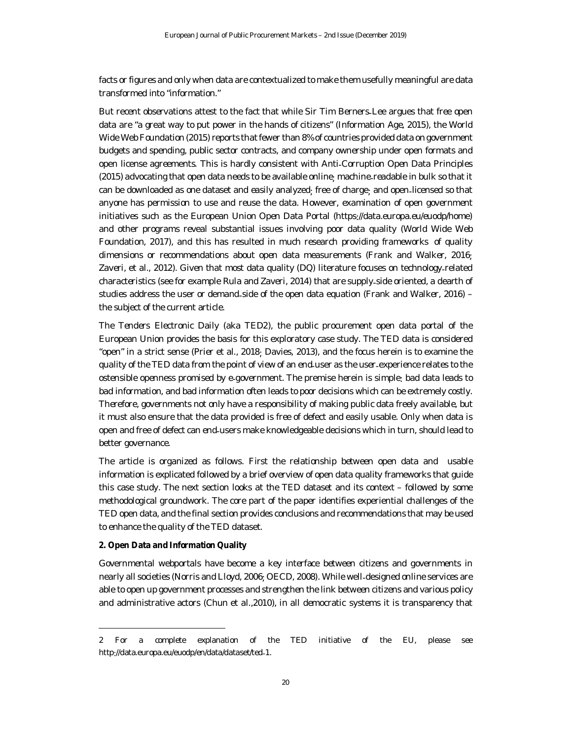facts or figures and only when data are contextualized to make them usefully meaningful are data transformed into "information."

But recent observations attest to the fact that while Sir Tim Berners-Lee argues that free open data are "*a great way to put power in the hands of citizens*" (Information Age, 2015), the World Wide Web Foundation (2015) reports that fewer than 8% of countries provided data on government budgets and spending, public sector contracts, and company ownership under open formats and open license agreements. This is hardly consistent with Anti-Corruption Open Data Principles (2015) advocating that open data needs to be available online; machine-readable in bulk so that it can be downloaded as one dataset and easily analyzed; free of charge; and open-licensed so that anyone has permission to use and reuse the data. However, examination of open government initiatives such as the European Union Open Data Portal (https://data.europa.eu/euodp/home) and other programs reveal substantial issues involving poor data quality (World Wide Web Foundation, 2017), and this has resulted in much research providing frameworks of quality dimensions or recommendations about open data measurements (Frank and Walker, 2016; Zaveri, et al., 2012). Given that most data quality (DQ) literature focuses on technology-related characteristics (see for example Rula and Zaveri, 2014) that are supply-side oriented, a dearth of studies address the user or demand-side of the open data equation (Frank and Walker, 2016) – the subject of the current article.

The Tenders Electronic Daily (aka TED2), the public procurement open data portal of the European Union provides the basis for this exploratory case study. The TED data is considered "open" in a strict sense (Prier et al., 2018; Davies, 2013), and the focus herein is to examine the quality of the TED data from the point of view of an end-user as the user-experience relates to the ostensible openness promised by e-government. The premise herein is simple: bad data leads to bad information, and bad information often leads to poor decisions which can be extremely costly. Therefore, governments not only have a responsibility of making public data freely available, but it must also ensure that the data provided is free of defect and easily usable. Only when data is open and free of defect can end-users make knowledgeable decisions which in turn, should lead to better governance.

The article is organized as follows. First the relationship between open data and usable information is explicated followed by a brief overview of open data quality frameworks that guide this case study. The next section looks at the TED dataset and its context – followed by some methodological groundwork. The core part of the paper identifies experiential challenges of the TED open data, and the final section provides conclusions and recommendations that may be used to enhance the quality of the TED dataset.

## **2. Open Data and Information Quality**

Governmental webportals have become a key interface between citizens and governments in nearly all societies (Norris and Lloyd, 2006; OECD, 2008). While well-designed online services are able to open up government processes and strengthen the link between citizens and various policy and administrative actors (Chun et al.,2010), in all democratic systems it is transparency that

<sup>2</sup> For a complete explanation of the TED initiative of the EU, please see http: //data.europa.eu/euodp/en/data/dataset/ted-1.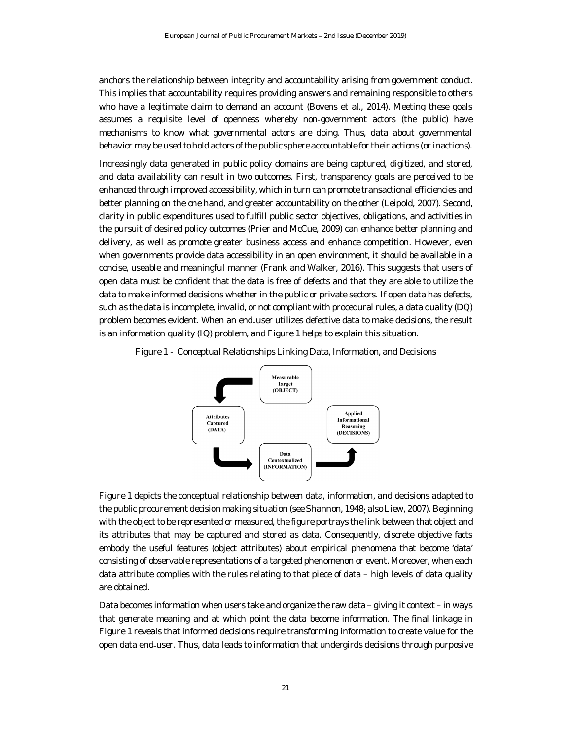anchors the relationship between integrity and accountability arising from government conduct. This implies that accountability requires providing answers and remaining responsible to others who have a legitimate claim to demand an account (Bovens et al., 2014). Meeting these goals assumes a requisite level of openness whereby non-government actors (the public) have mechanisms to know what governmental actors are doing. Thus, data about governmental behavior may be used to hold actors of the public sphere accountable for their actions (or inactions).

Increasingly data generated in public policy domains are being captured, digitized, and stored, and data availability can result in two outcomes. First, transparency goals are perceived to be enhanced through improved accessibility, which in turn can promote transactional efficiencies and better planning on the one hand, and greater accountability on the other (Leipold, 2007). Second, clarity in public expenditures used to fulfill public sector objectives, obligations, and activities in the pursuit of desired policy outcomes (Prier and McCue, 2009) can enhance better planning and delivery, as well as promote greater business access and enhance competition. However, even when governments provide data accessibility in an open environment, it should be available in a concise, useable and meaningful manner (Frank and Walker, 2016). This suggests that users of open data must be confident that the data is free of defects and that they are able to utilize the data to make informed decisions whether in the public or private sectors. If open data has defects, such as the data is incomplete, invalid, or not compliant with procedural rules, a data quality (DQ) problem becomes evident. When an end-user utilizes defective data to make decisions, the result is an information quality (IQ) problem, and Figure 1 helps to explain this situation.



Figure 1 - Conceptual RelationshipsLinking Data, Information, and Decisions

Figure 1 depicts the conceptual relationship between data, information, and decisions adapted to the public procurement decision making situation (see Shannon, 1948; also Liew, 2007). Beginning with the object to be represented or measured, the figure portrays the link between that object and its attributes that may be captured and stored as data. Consequently, discrete objective facts embody the useful features (object attributes) about empirical phenomena that become 'data' consisting of observable representations of a targeted phenomenon or event. Moreover, when each data attribute complies with the rules relating to that piece of data – high levels of data quality are obtained.

Data becomes information when users take and organize the raw data – giving it context – in ways that generate meaning and at which point the data become information. The final linkage in Figure 1 reveals that informed decisions require transforming information to create value for the open data end-user. Thus, data leads to information that undergirds decisions through purposive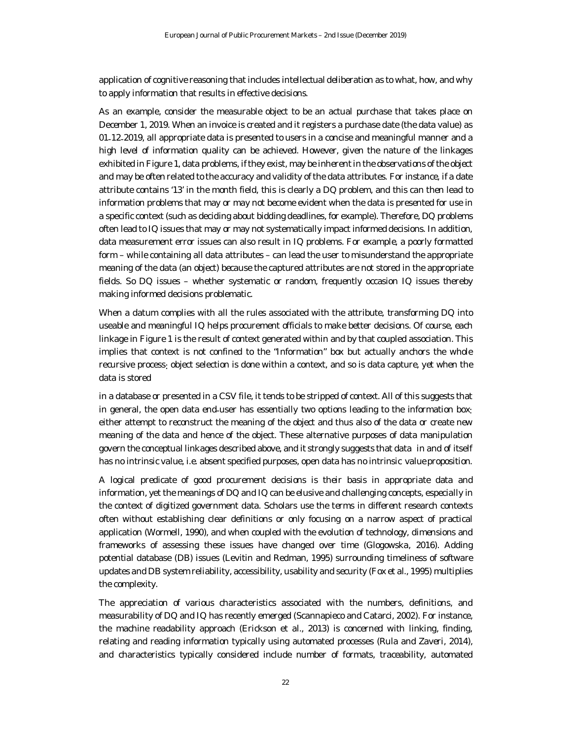application of cognitive reasoning that includes intellectualdeliberation as to what, how, and why to apply information that results in effective decisions.

As an example, consider the measurable object to be an actual purchase that takes place on December 1, 2019. When an invoice is created and it registers a purchase date (the data value) as 01-12-2019, all appropriate data is presented to users in a concise and meaningful manner and a high level of information quality can be achieved. However, given the nature of the linkages exhibited in Figure 1, data problems, if they exist, may be inherent in the observations of the object and may be often related to the accuracy and validity of the data attributes. For instance, if a date attribute contains '13' in the month field, this is clearly a DQ problem, and this can then lead to information problems that may or may not become evident when the data is presented for use in a specific context (such as deciding about bidding deadlines, for example). Therefore, DQ problems often lead to IQ issues that may or may not systematically impact informed decisions. In addition, data measurement error issues can also result in IQ problems. For example, a poorly formatted form – while containing all data attributes – can lead the user to misunderstand the appropriate meaning of the data (an object) because the captured attributes are not stored in the appropriate fields. So DQ issues – whether systematic or random, frequently occasion IQ issues thereby making informed decisions problematic.

When a datum complies with all the rules associated with the attribute, transforming DQ into useable and meaningful IQ helps procurement officials to make better decisions. Of course, each linkage in Figure 1 is the result of context generated within and by that coupled association. This implies that context is not confined to the "Information" box but actually anchors the whole recursive process: object selection is done within a context, and so is data capture, yet when the data is stored

in a database or presented in a CSV file, it tends to be stripped of context. All of this suggests that in general, the open data end-user has essentially two options leading to the information box: either attempt to reconstruct the meaning of the object and thus also of the data or create new meaning of the data and hence of the object. These alternative purposes of data manipulation govern the conceptual linkages described above, and it strongly suggests that data in and of itself has no intrinsic value, i.e. absent specified purposes, open data has no intrinsic value proposition.

A logical predicate of good procurement decisions is their basis in appropriate data and information, yet the meanings of DQ and IQ can be elusive and challenging concepts, especially in the context of digitized government data. Scholars use the terms in different research contexts often without establishing clear definitions or only focusing on a narrow aspect of practical application (Wormell, 1990), and when coupled with the evolution of technology, dimensions and frameworks of assessing these issues have changed over time (Glogowska, 2016). Adding potential database (DB) issues (Levitin and Redman, 1995) surrounding timeliness of software updates and DB system reliability, accessibility, usability and security (Fox et al., 1995) multiplies the complexity.

The appreciation of various characteristics associated with the numbers, definitions, and measurability of DQ and IQ has recently emerged (Scannapieco and Catarci, 2002). For instance, the machine readability approach (Erickson et al., 2013) is concerned with linking, finding, relating and reading information typically using automated processes (Rula and Zaveri, 2014), and characteristics typically considered include number of formats, traceability, automated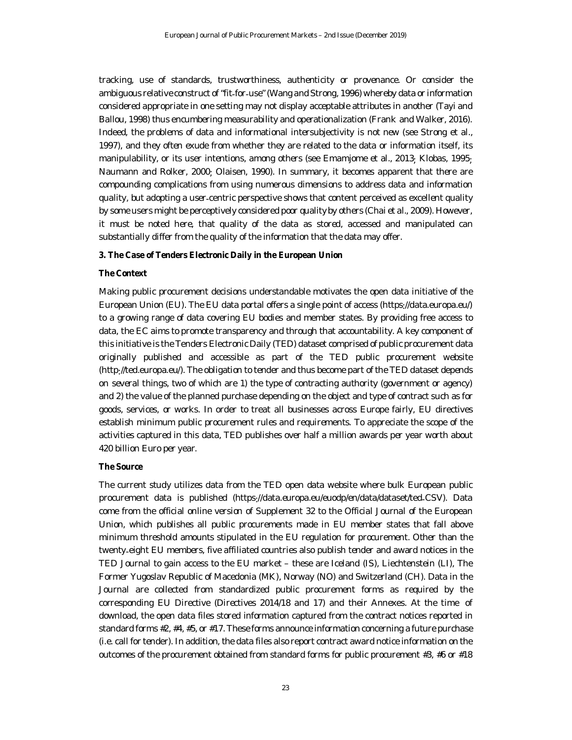tracking, use of standards, trustworthiness, authenticity or provenance. Or consider the ambiguous relative construct of "*fit*-*for*-*use*" (Wang and Strong, 1996) whereby data or information considered appropriate in one setting may not display acceptable attributes in another (Tayi and Ballou, 1998) thus encumbering measurability and operationalization (Frank and Walker, 2016). Indeed, the problems of data and informational intersubjectivity is not new (see Strong et al., 1997), and they often exude from whether they are related to the data or information itself, its manipulability, or its user intentions, among others (see Emamjome et al., 2013; Klobas, 1995; Naumann and Rolker, 2000; Olaisen, 1990). In summary, it becomes apparent that there are compounding complications from using numerous dimensions to address data and information quality, but adopting a user-centric perspective shows that content perceived as excellent quality by some users might be perceptively considered poor quality by others (Chai et al., 2009). However, it must be noted here, that quality of the data as stored, accessed and manipulated can substantially differ from the quality of the information that the data may offer.

#### **3. The Case of Tenders Electronic Daily in the European Union**

#### **The Context**

Making public procurement decisions understandable motivates the open data initiative of the European Union (EU). The EU data portal offers a single point of access (https: //data.europa.eu/) to a growing range of data covering EU bodies and member states. By providing free access to data, the EC aims to promote transparency and through that accountability. A key component of this initiative is the Tenders Electronic Daily (TED) dataset comprised of public procurement data originally published and accessible as part of the TED public procurement website (http://ted.europa.eu/). The obligation to tender and thus become part of the TED dataset depends on several things, two of which are 1) the type of contracting authority (government or agency) and 2) the value of the planned purchase depending on the object and type of contract such as for goods, services, or works. In order to treat all businesses across Europe fairly, EU directives establish minimum public procurement rules and requirements. To appreciate the scope of the activities captured in this data, TED publishes over half a million awards per year worth about 420 billion Euro per year.

#### **The Source**

The current study utilizes data from the TED open data website where bulk European public procurement data is published (https: //data.europa.eu/euodp/en/data/dataset/ted-CSV). Data come from the official online version of Supplement 32 to the Official Journal of the European Union, which publishes all public procurements made in EU member states that fall above minimum threshold amounts stipulated in the EU regulation for procurement. Other than the twenty-eight EU members, five affiliated countries also publish tender and award notices in the TED Journal to gain access to the EU market – these are Iceland (IS), Liechtenstein (LI), The Former Yugoslav Republic of Macedonia (MK), Norway (NO) and Switzerland (CH). Data in the Journal are collected from standardized public procurement forms as required by the corresponding EU Directive (Directives 2014/18 and 17) and their Annexes. At the time of download, the open data files stored information captured from the contract notices reported in standard forms #2, #4, #5, or #17. These forms announce information concerning a future purchase (i.e. call for tender). In addition, the data files also report contract award notice information on the outcomes of the procurement obtained from standard forms for public procurement #3, #6 or #18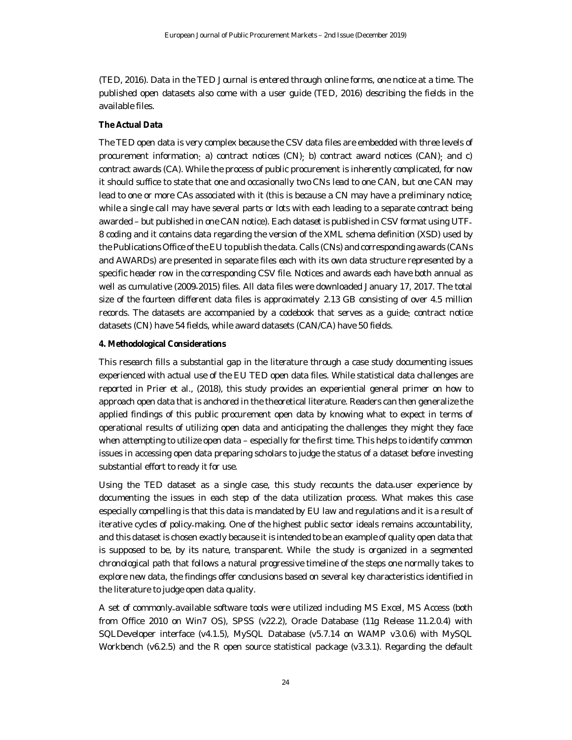(TED, 2016). Data in the TED Journal is entered through online forms, one notice at a time. The published open datasets also come with a user guide (TED, 2016) describing the fields in the available files.

#### **The Actual Data**

The TED open data is very complex because the CSV data files are embedded with three levels of procurement information: a) contract notices (CN); b) contract award notices (CAN); and c) contract awards (CA). While the process of public procurement is inherently complicated, for now it should suffice to state that one and occasionally two CNs lead to one CAN, but one CAN may lead to one or more CAs associated with it (this is because a CN may have a preliminary notice; while a single call may have several parts or lots with each leading to a separate contract being awarded – but published in one CAN notice). Each dataset is published in CSV format using UTF-8 coding and it contains data regarding the version of the XML schema definition (XSD) used by the Publications Office of the EU to publish the data. Calls (CNs) and corresponding awards (CANs and AWARDs) are presented in separate files each with its own data structure represented by a specific header row in the corresponding CSV file. Notices and awards each have both annual as well as cumulative (2009-2015) files. All data files were downloaded January 17, 2017. The total size of the fourteen different data files is approximately 2.13 GB consisting of over 4.5 million records. The datasets are accompanied by a codebook that serves as a guide: contract notice datasets (CN) have 54 fields, while award datasets (CAN/CA) have 50 fields.

## **4. Methodological Considerations**

This research fills a substantial gap in the literature through a case study documenting issues experienced with actual use of the EU TED open data files. While statistical data challenges are reported in Prier et al., (2018), this study provides an experiential general primer on how to approach open data that is anchored in the theoretical literature. Readers can then generalize the applied findings of this public procurement open data by knowing what to expect in terms of operational results of utilizing open data and anticipating the challenges they might they face when attempting to utilize open data – especially for the first time. This helps to identify common issues in accessing open data preparing scholars to judge the status of a dataset before investing substantial effort to ready it for use.

Using the TED dataset as a single case, this study recounts the data-user experience by documenting the issues in each step of the data utilization process. What makes this case especially compelling is that this data is mandated by EU law and regulations and it is a result of iterative cycles of policy-making. One of the highest public sector ideals remains accountability, and this dataset is chosen exactly because it is intended to be an example of quality open data that is supposed to be, by its nature, transparent. While the study is organized in a segmented chronological path that follows a natural progressive timeline of the steps one normally takes to explore new data, the findings offer conclusions based on several key characteristics identified in the literature to judge open data quality.

A set of commonly-available software tools were utilized including MS Excel, MS Access (both from Office 2010 on Win7 OS), SPSS (v22.2), Oracle Database (11g Release 11.2.0.4) with SQLDeveloper interface (v4.1.5), MySQL Database (v5.7.14 on WAMP v3.0.6) with MySQL Workbench (v6.2.5) and the R open source statistical package (v3.3.1). Regarding the default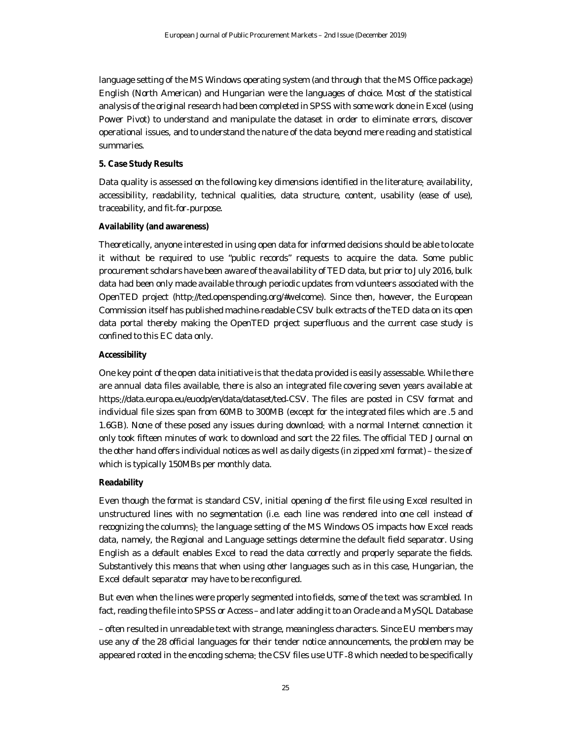language setting of the MS Windows operating system (and through that the MS Office package) English (North American) and Hungarian were the languages of choice. Most of the statistical analysis of the original research had been completed in SPSS with some work done in Excel (using Power Pivot) to understand and manipulate the dataset in order to eliminate errors, discover operational issues, and to understand the nature of the data beyond mere reading and statistical summaries.

## **5. Case Study Results**

Data quality is assessed on the following key dimensions identified in the literature: availability, accessibility, readability, technical qualities, data structure, content, usability (ease of use), traceability, and fit-for-purpose.

#### **Availability (and awareness)**

Theoretically, anyone interested in using open data for informed decisions should be able to locate it without be required to use "public records" requests to acquire the data. Some public procurement scholars have been aware of the availability of TED data, but prior to July 2016, bulk data had been only made available through periodic updates from volunteers associated with the OpenTED project (http://ted.openspending.org/#welcome). Since then, however, the European Commission itself has published machine-readable CSV bulk extracts of the TED data on its open data portal thereby making the OpenTED project superfluous and the current case study is confined to this EC data only.

#### **Accessibility**

One key point of the open data initiative is that the data provided is easily assessable. While there are annual data files available, there is also an integrated file covering seven years available at https://data.europa.eu/euodp/en/data/dataset/ted-CSV. The files are posted in CSV format and individual file sizes span from 60MB to 300MB (except for the integrated files which are .5 and 1.6GB). None of these posed any issues during download: with a normal Internet connection it only took fifteen minutes of work to download and sort the 22 files. The official TED Journal on the other hand offers individual notices as well as daily digests (in zipped xml format) – the size of which is typically 150MBs per monthly data.

## **Readability**

Even though the format is standard CSV, initial opening of the first file using Excel resulted in unstructured lines with no segmentation (i.e. each line was rendered into one cell instead of recognizing the columns): the language setting of the MS Windows OS impacts how Excel reads data, namely, the Regional and Language settings determine the default field separator. Using English as a default enables Excel to read the data correctly and properly separate the fields. Substantively this means that when using other languages such as in this case, Hungarian, the Excel default separator may have to be reconfigured.

But even when the lines were properly segmented into fields, some of the text was scrambled. In fact, reading the file into SPSS or Access–and later adding it to an Oracle and a MySQL Database

– often resulted in unreadable text with strange, meaningless characters. Since EU members may use any of the 28 official languages for their tender notice announcements, the problem may be appeared rooted in the encoding schema: the CSV files use UTF-8 which needed to be specifically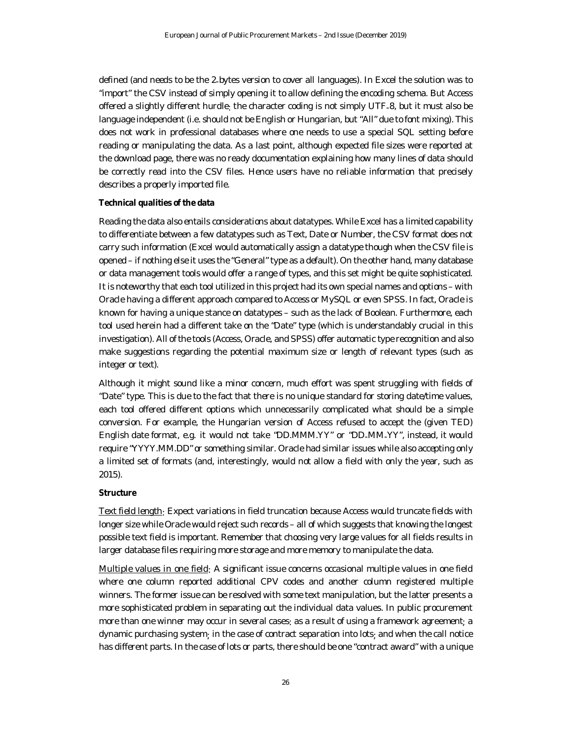defined (and needs to be the 2-bytes version to cover all languages). In Excel the solution was to "import" the CSV instead of simply opening it to allow defining the encoding schema. But Access offered a slightly different hurdle: the character coding is not simply UTF-8, but it must also be language independent (i.e. should not be English or Hungarian, but "All" due to font mixing). This does not work in professional databases where one needs to use a special SQL setting before reading or manipulating the data. As a last point, although expected file sizes were reported at the download page, there was no ready documentation explaining how many lines of data should be correctly read into the CSV files. Hence users have no reliable information that precisely describes a properly imported file.

## **Technical qualities of the data**

Reading the data also entails considerations about datatypes. While Excel has a limited capability to differentiate between a few datatypes such as Text, Date or Number, the CSV format does not carry such information (Excel would automatically assign a datatype though when the CSV file is opened – if nothing else it uses the "General" type as a default). On the other hand, many database or data management tools would offer a range of types, and this set might be quite sophisticated. It is noteworthy that each tool utilized in this project had its own special names and options – with Oracle having a different approach compared to Access or MySQL or even SPSS. In fact, Oracle is known for having a unique stance on datatypes – such as the lack of Boolean. Furthermore, each tool used herein had a different take on the "Date" type (which is understandably crucial in this investigation). All of the tools (Access, Oracle, and SPSS) offer automatic type recognition and also make suggestions regarding the potential maximum size or length of relevant types (such as integer or text).

Although it might sound like a minor concern, much effort was spent struggling with fields of "Date" type. This is due to the fact that there is no unique standard for storing date/time values, each tool offered different options which unnecessarily complicated what should be a simple conversion. For example, the Hungarian version of Access refused to accept the (given TED) English date format, e.g. it would not take "DD.MMM.YY" or "DD-MM-YY", instead, it would require "YYYY.MM.DD" or something similar. Oracle had similar issues while also accepting only a limited set of formats (and, interestingly, would not allow a field with only the year, such as 2015).

## **Structure**

Text field length: Expect variations in field truncation because Access would truncate fields with longer size while Oracle would reject such records – all of which suggests that knowing the longest possible text field is important. Remember that choosing very large values for all fields results in larger database files requiring more storage and more memory to manipulate the data.

Multiple values in one field: A significant issue concerns occasional multiple values in one field where one column reported additional CPV codes and another column registered multiple winners. The former issue can be resolved with some text manipulation, but the latter presents a more sophisticated problem in separating out the individual data values. In public procurement more than one winner may occur in several cases: as a result of using a framework agreement; a dynamic purchasing system; in the case of contract separation into lots; and when the call notice has different parts. In the case of lots or parts, there should be one "contract award" with a unique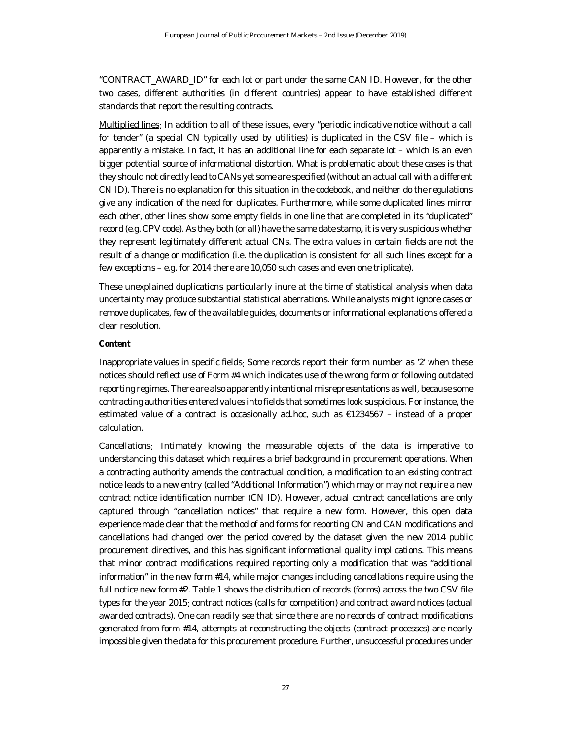"CONTRACT\_AWARD\_ID" for each lot or part under the same CAN ID. However, for the other two cases, different authorities (in different countries) appear to have established different standards that report the resulting contracts.

Multiplied lines: In addition to all of these issues, every "periodic indicative notice without a call for tender" (a special CN typically used by utilities) is duplicated in the CSV file – which is apparently a mistake. In fact, it has an additional line for each separate lot – which is an even bigger potential source of informational distortion. What is problematic about these cases is that they should not directly lead to CANs yet some are specified (without an actual call with a different CN ID). There is no explanation for this situation in the codebook, and neither do the regulations give any indication of the need for duplicates. Furthermore, while some duplicated lines mirror each other, other lines show some empty fields in one line that are completed in its "duplicated" record (e.g. CPV code). As they both (or all) have the same date stamp, it is very suspicious whether they represent legitimately different actual CNs. The extra values in certain fields are not the result of a change or modification (i.e. the duplication is consistent for all such lines except for a few exceptions – e.g. for 2014 there are 10,050 such cases and even one triplicate).

These unexplained duplications particularly inure at the time of statistical analysis when data uncertainty may produce substantial statistical aberrations. While analysts might ignore cases or remove duplicates, few of the available guides, documents or informational explanations offered a clear resolution.

## **Content**

Inappropriate values in specific fields: Some records report their form number as '2' when these notices should reflect use of Form #4 which indicates use of the wrong form or following outdated reporting regimes. There are also apparently intentional misrepresentations as well, because some contracting authorities entered values into fields that sometimes look suspicious. For instance, the estimated value of a contract is occasionally ad-hoc, such as €1234567 – instead of a proper calculation.

Cancellations: Intimately knowing the measurable objects of the data is imperative to understanding this dataset which requires a brief background in procurement operations. When a contracting authority amends the contractual condition, a modification to an existing contract notice leads to a new entry (called "Additional Information") which may or may not require a new contract notice identification number (CN ID). However, actual contract cancellations are only captured through "cancellation notices" that require a new form. However, this open data experience made clear that the method of and forms for reporting CN and CAN modifications and cancellations had changed over the period covered by the dataset given the new 2014 public procurement directives, and this has significant informational quality implications. This means that minor contract modifications required reporting only a modification that was "additional information" in the new form #14, while major changes including cancellations require using the full notice new form #2. Table 1 shows the distribution of records (forms) across the two CSV file types for the year 2015: contract notices (calls for competition) and contract award notices (actual awarded contracts). One can readily see that since there are no records of contract modifications generated from form #14, attempts at reconstructing the objects (contract processes) are nearly impossible given the data for this procurement procedure. Further, unsuccessful procedures under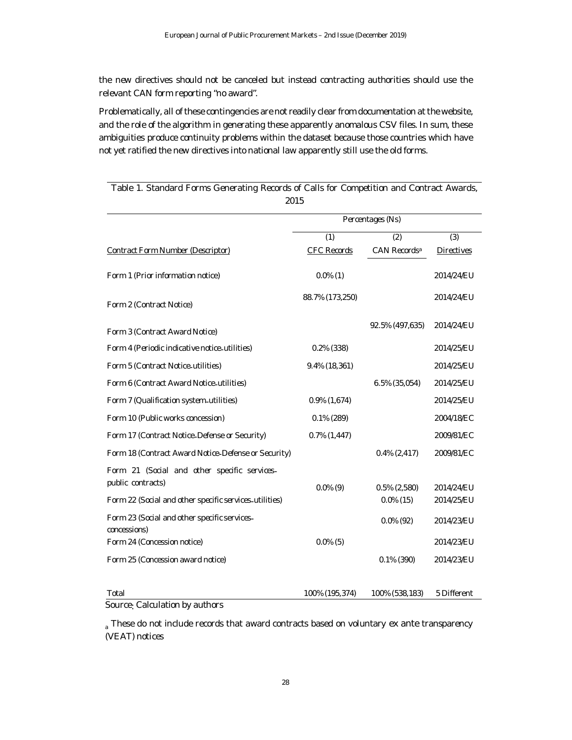the new directives should not be canceled but instead contracting authorities should use the relevant CAN form reporting "no award".

Problematically, all of these contingencies are not readily clear from documentation at the website, and the role of the algorithm in generating these apparently anomalous CSV files. In sum, these ambiguities produce continuity problems within the dataset because those countries which have not yet ratified the new directives into national law apparently still use the old forms.

|                                                              | Percentages (Ns)   |                          |                   |
|--------------------------------------------------------------|--------------------|--------------------------|-------------------|
|                                                              |                    |                          |                   |
|                                                              | (1)                | (2)                      | (3)               |
| Contract Form Number (Descriptor)                            | <b>CFC Records</b> | CAN Records <sup>a</sup> | <b>Directives</b> |
| Form 1 (Prior information notice)                            | $0.0\%$ (1)        |                          | 2014/24/EU        |
| Form 2 (Contract Notice)                                     | 88.7% (173,250)    |                          | 2014/24/EU        |
| Form 3 (Contract Award Notice)                               |                    | 92.5% (497,635)          | 2014/24/EU        |
| Form 4 (Periodic indicative notice-utilities)                | $0.2\%$ (338)      |                          | 2014/25/EU        |
| Form 5 (Contract Notice-utilities)                           | 9.4% (18,361)      |                          | 2014/25/EU        |
| Form 6 (Contract Award Notice-utilities)                     |                    | $6.5\%$ (35,054)         | 2014/25/EU        |
| Form 7 (Qualification system utilities)                      | $0.9\%$ (1,674)    |                          | 2014/25/EU        |
| Form 10 (Public works concession)                            | $0.1\%$ (289)      |                          | 2004/18/EC        |
| Form 17 (Contract Notice-Defense or Security)                | $0.7\%$ $(1,447)$  |                          | 2009/81/EC        |
| Form 18 (Contract Award Notice Defense or Security)          |                    | $0.4\%$ (2,417)          | 2009/81/EC        |
| Form 21 (Social and other specific services.                 |                    |                          |                   |
| public contracts)                                            | $0.0\%$ (9)        | $0.5\%$ (2,580)          | 2014/24/EU        |
| Form 22 (Social and other specific services-utilities)       |                    | $0.0\%$ (15)             | 2014/25/EU        |
| Form 23 (Social and other specific services.<br>concessions) |                    | $0.0\%$ (92)             | 2014/23/EU        |
| Form 24 (Concession notice)                                  | $0.0\%$ (5)        |                          | 2014/23/EU        |
| Form 25 (Concession award notice)                            |                    | $0.1\%$ (390)            | 2014/23/EU        |
|                                                              |                    |                          |                   |
| Total                                                        | 100% (195,374)     | 100% (538, 183)          | 5 Different       |

Table 1. Standard Forms Generating Records of Calls for Competition and Contract Awards, 2015

Source: Calculation by authors

<sup>a</sup> These do not include records that award contracts based on voluntary *ex ante* transparency (VEAT) notices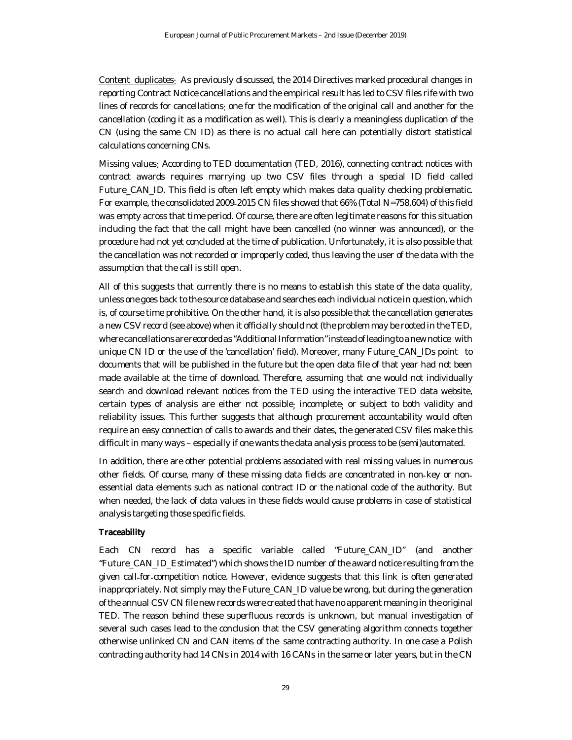Content duplicates: As previously discussed, the 2014 Directives marked procedural changes in reporting Contract Notice cancellations and the empirical result has led to CSV files rife with two lines of records for cancellations: one for the modification of the original call and another for the cancellation (coding it as a modification as well). This is clearly a meaningless duplication of the CN (using the same CN ID) as there is no actual call here can potentially distort statistical calculations concerning CNs.

Missing values: According to TED documentation (TED, 2016), connecting contract notices with contract awards requires marrying up two CSV files through a special ID field called Future\_CAN\_ID. This field is often left empty which makes data quality checking problematic. For example, the consolidated 2009-2015 CN files showed that 66% (Total N=758,604) of this field was empty across that time period. Of course, there are often legitimate reasons for this situation including the fact that the call might have been cancelled (no winner was announced), or the procedure had not yet concluded at the time of publication. Unfortunately, it is also possible that the cancellation was not recorded or improperly coded, thus leaving the user of the data with the assumption that the call is still open.

All of this suggests that currently there is no means to establish this state of the data quality, unless one goes back to the source database and searches each individual notice in question, which is, of course time prohibitive. On the other hand, it is also possible that the cancellation generates a new CSV record (see above) when it officially should not (the problem may be rooted in the TED, where cancellations are recorded as "Additional Information" instead of leading to a new notice with unique CN ID or the use of the 'cancellation' field). Moreover, many Future\_CAN\_IDs point to documents that will be published in the future but the open data file of that year had not been made available at the time of download. Therefore, assuming that one would not individually search and download relevant notices from the TED using the interactive TED data website, certain types of analysis are either not possible; incomplete; or subject to both validity and reliability issues. This further suggests that although procurement accountability would often require an easy connection of calls to awards and their dates, the generated CSV files make this difficult in many ways – especially if one wants the data analysis process to be (semi)automated.

In addition, there are other potential problems associated with real missing values in numerous other fields. Of course, many of these missing data fields are concentrated in non-key or nonessential data elements such as national contract ID or the national code of the authority. But when needed, the lack of data values in these fields would cause problems in case of statistical analysis targeting those specific fields.

## **Traceability**

Each CN record has a specific variable called "Future\_CAN\_ID" (and another "Future\_CAN\_ID\_Estimated") which shows the ID number of the award notice resulting from the given call-for-competition notice. However, evidence suggests that this link is often generated inappropriately. Not simply may the Future\_CAN\_ID value be wrong, but during the generation of the annual CSV CN file new records were created that have no apparent meaning in the original TED. The reason behind these superfluous records is unknown, but manual investigation of several such cases lead to the conclusion that the CSV generating algorithm connects together otherwise unlinked CN and CAN items of the same contracting authority. In one case a Polish contracting authority had 14 CNs in 2014 with 16 CANs in the same or later years, but in the CN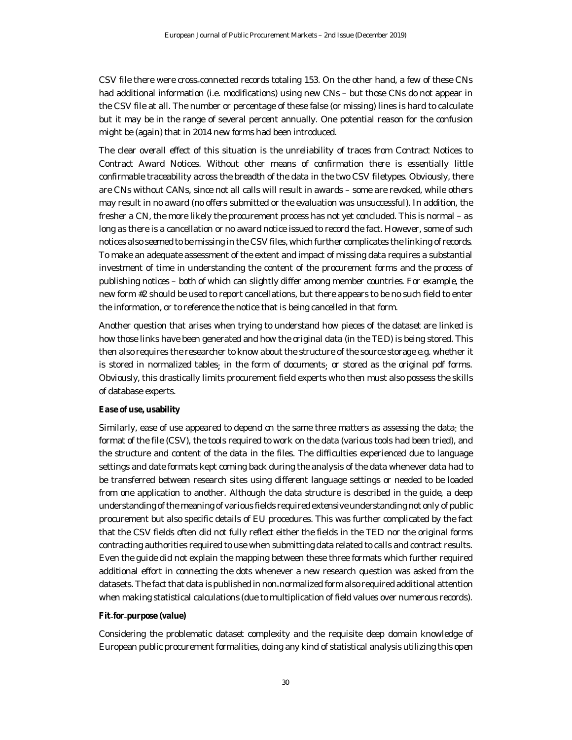CSV file there were cross-connected records totaling 153. On the other hand, a few of these CNs had additional information (i.e. modifications) using new CNs - but those CNs do not appear in the CSV file at all. The number or percentage of these false (or missing) lines is hard to calculate but it may be in the range of several percent annually. One potential reason for the confusion might be (again) that in 2014 new forms had been introduced.

The clear overall effect of this situation is the unreliability of traces from Contract Notices to Contract Award Notices. Without other means of confirmation there is essentially little confirmable traceability across the breadth of the data in the two CSV filetypes. Obviously, there are CNs without CANs, since not all calls will result in awards – some are revoked, while others may result in no award (no offers submitted or the evaluation was unsuccessful). In addition, the fresher a CN, the more likely the procurement process has not yet concluded. This is normal – as long as there is a cancellation or no award notice issued to record the fact. However, some of such notices also seemed to be missing in the CSV files, which further complicates the linking of records. To make an adequate assessment of the extent and impact of missing data requires a substantial investment of time in understanding the content of the procurement forms and the process of publishing notices – both of which can slightly differ among member countries. For example, the new form #2 should be used to report cancellations, but there appears to be no such field to enter the information, or to reference the notice that is being cancelled in that form.

Another question that arises when trying to understand how pieces of the dataset are linked is how those links have been generated and how the original data (in the TED) is being stored. This then also requires the researcher to know about the structure of the source storage e.g. whether it is stored in normalized tables; in the form of documents; or stored as the original pdf forms. Obviously, this drastically limits procurement field experts who then must also possess the skills of database experts.

#### **Ease of use, usability**

Similarly, ease of use appeared to depend on the same three matters as assessing the data: the format of the file (CSV), the tools required to work on the data (various tools had been tried), and the structure and content of the data in the files. The difficulties experienced due to language settings and date formats kept coming back during the analysis of the data whenever data had to be transferred between research sites using different language settings or needed to be loaded from one application to another. Although the data structure is described in the guide, a deep understanding of the meaning of various fields required extensive understanding not only of public procurement but also specific details of EU procedures. This was further complicated by the fact that the CSV fields often did not fully reflect either the fields in the TED nor the original forms contracting authorities required to use when submitting data related to calls and contract results. Even the guide did not explain the mapping between these three formats which further required additional effort in connecting the dots whenever a new research question was asked from the datasets. The fact that data is published in non-normalized form also required additional attention when making statistical calculations (due to multiplication of field values over numerous records).

# **Fit**-**for**-**purpose (value)**

Considering the problematic dataset complexity and the requisite deep domain knowledge of European public procurement formalities, doing any kind of statistical analysis utilizing this open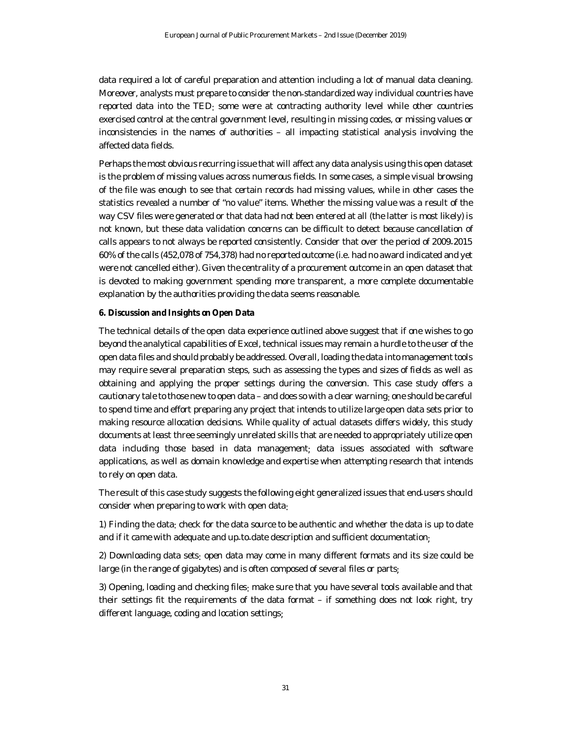data required a lot of careful preparation and attention including a lot of manual data cleaning. Moreover, analysts must prepare to consider the non-standardized way individual countries have reported data into the TED: some were at contracting authority level while other countries exercised control at the central government level, resulting in missing codes, or missing values or inconsistencies in the names of authorities – all impacting statistical analysis involving the affected data fields.

Perhaps the most obvious recurring issue that will affect any data analysis using this open dataset is the problem of missing values across numerous fields. In some cases, a simple visual browsing of the file was enough to see that certain records had missing values, while in other cases the statistics revealed a number of "no value" items. Whether the missing value was a result of the way CSV files were generated or that data had not been entered at all (the latter is most likely) is not known, but these data validation concerns can be difficult to detect because cancellation of calls appears to not always be reported consistently. Consider that over the period of 2009-2015 60% of the calls (452,078 of 754,378) had no reportedoutcome (i.e. had no award indicated and yet were not cancelled either). Given the centrality of a procurement outcome in an open dataset that is devoted to making government spending more transparent, a more complete documentable explanation by the authorities providing the data seems reasonable.

## **6. Discussion and Insights on Open Data**

The technical details of the open data experience outlined above suggest that if one wishes to go beyond the analytical capabilities of Excel, technical issues may remain a hurdle to the user of the open data files and should probably be addressed. Overall, loading the data into management tools may require several preparation steps, such as assessing the types and sizes of fields as well as obtaining and applying the proper settings during the conversion. This case study offers a cautionary tale to those new to open data – and does so with a clear warning: one should be careful to spend time and effort preparing any project that intends to utilize large open data sets prior to making resource allocation decisions. While quality of actual datasets differs widely, this study documents at least three seemingly unrelated skills that are needed to appropriately utilize open data including those based in data management; data issues associated with software applications, as well as domain knowledge and expertise when attempting research that intends to rely on open data.

The result of this case study suggests the following eight generalized issues that end-users should consider when preparing to work with open data:

1) Finding the data: check for the data source to be authentic and whether the data is up to date and if it came with adequate and up-to-date description and sufficient documentation;

2) Downloading data sets: open data may come in many different formats and its size could be large (in the range of gigabytes) and is often composed of several files or parts;

3) Opening, loading and checking files: make sure that you have several tools available and that their settings fit the requirements of the data format – if something does not look right, try different language, coding and location settings;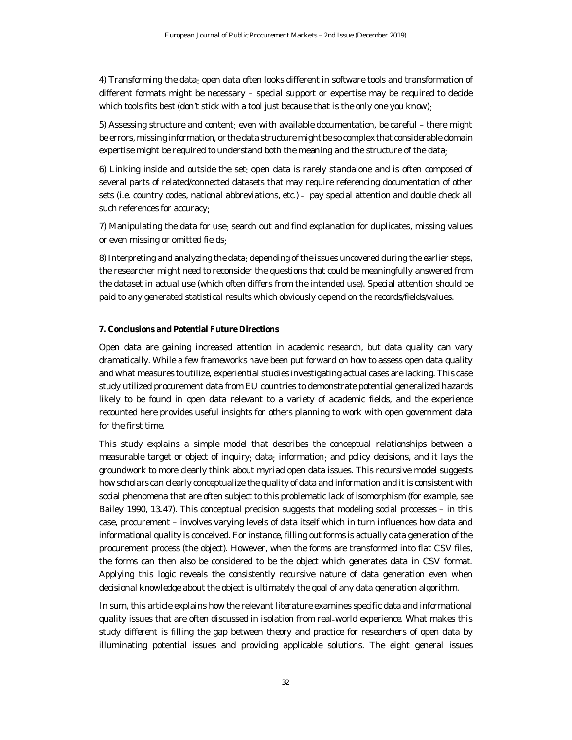4) Transforming the data: open data often looks different in software tools and transformation of different formats might be necessary – special support or expertise may be required to decide which tools fits best (don't stick with a tool just because that is the only one you know):

5) Assessing structure and content: even with available documentation, be careful – there might be errors, missing information, or the data structure might be so complex that considerable domain expertise might be required to understand both the meaning and the structure of the data;

6) Linking inside and outside the set: open data is rarely standalone and is often composed of several parts of related/connected datasets that may require referencing documentation of other sets (i.e. country codes, national abbreviations, etc.) - pay special attention and double check all such references for accuracy;

7) Manipulating the data for use: search out and find explanation for duplicates, missing values or even missing or omitted fields;

8) Interpreting and analyzing the data: depending of the issues uncovered during the earlier steps, the researcher might need to reconsider the questions that could be meaningfully answered from the dataset in actual use (which often differs from the intended use). Special attention should be paid to any generated statistical results which obviously depend on the records/fields/values.

#### **7. Conclusions and Potential Future Directions**

Open data are gaining increased attention in academic research, but data quality can vary dramatically. While a few frameworks have been put forward on how to assess open data quality and what measures to utilize, experiential studies investigating actual cases are lacking. This case study utilized procurement data from EU countries to demonstrate potential generalized hazards likely to be found in open data relevant to a variety of academic fields, and the experience recounted here provides useful insights for others planning to work with open government data for the first time.

This study explains a simple model that describes the conceptual relationships between a measurable target or object of inquiry; data; information; and policy decisions, and it lays the groundwork to more clearly think about myriad open data issues. This recursive model suggests how scholars can clearly conceptualize the quality of data and information and it is consistent with social phenomena that are often subject to this problematic lack of isomorphism (for example, see Bailey 1990, 13-47). This conceptual precision suggests that modeling social processes – in this case, procurement – involves varying levels of data itself which in turn influences how data and informational quality is conceived. For instance, filling out forms is actually data generation of the procurement process (the object). However, when the forms are transformed into flat CSV files, the forms can then also be considered to be the object which generates data in CSV format. Applying this logic reveals the consistently recursive nature of data generation even when decisional knowledge about the object is ultimately the goal of any data generation algorithm.

In sum, this article explains how the relevant literature examines specific data and informational quality issues that are often discussed in isolation from real-world experience. What makes this study different is filling the gap between theory and practice for researchers of open data by illuminating potential issues and providing applicable solutions. The eight general issues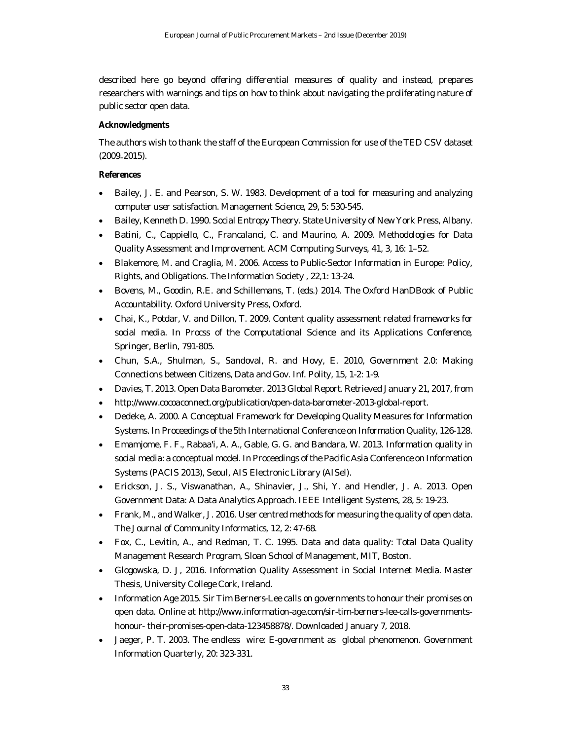described here go beyond offering differential measures of quality and instead, prepares researchers with warnings and tips on how to think about navigating the proliferating nature of public sector open data.

# **Acknowledgments**

The authors wish to thank the staff of the European Commission for use of the TED CSV dataset (2009-2015).

# **References**

- Bailey, J. E. and Pearson, S. W. 1983. Development of a tool for measuring and analyzing computer user satisfaction. *Management Science*, 29, 5: 530-545.
- Bailey, Kenneth D. 1990. *Social Entropy Theory*. State University of New York Press, Albany.
- Batini, C., Cappiello, C., Francalanci, C. and Maurino, A. 2009. Methodologies for Data Quality Assessment and Improvement. *ACM Computing Surveys*, 41, 3, 16: 1–52.
- Blakemore, M. and Craglia, M. 2006. Access to Public-Sector Information in Europe: Policy, Rights, and Obligations. *The Information Society* , 22,1: 13-24.
- Bovens, M., Goodin, R.E. and Schillemans, T. (eds.) 2014. The *Oxford HanDBook of Public Accountability*. Oxford University Press, Oxford.
- Chai, K., Potdar, V. and Dillon, T. 2009. Content quality assessment related frameworks for social media. In *Procss of the Computational Science and its Applications Conference*, Springer, Berlin, 791-805.
- Chun, S.A., Shulman, S., Sandoval, R. and Hovy, E. 2010, Government 2.0: Making Connections between Citizens, *Data and Gov. Inf. Polity*, 15, 1-2: 1-9.
- Davies, T. 2013. *Open Data Barometer. 2013 Global Report.* Retrieved January 21, 2017, from
- http://www.cocoaconnect.org/publication/open-data-barometer-2013-global-report.
- Dedeke, A. 2000. A Conceptual Framework for Developing Quality Measures for Information Systems. In *Proceedings of the 5th International Conference on Information Quality*, 126-128.
- Emamjome, F. F., Rabaa'i, A. A., Gable, G. G. and Bandara, W. 2013. Information quality in social media: a conceptual model. In *Proceedings of the Pacific Asia Conference on Information Systems (PACIS 2013)*, Seoul, AIS Electronic Library (AISel).
- Erickson, J. S., Viswanathan, A., Shinavier, J., Shi, Y. and Hendler, J. A. 2013. Open Government Data: A Data Analytics Approach. *IEEE Intelligent Systems*, 28, 5: 19-23.
- Frank, M., and Walker, J. 2016. User centred methods for measuring the quality of open data. *The Journal of Community Informatics*, 12, 2: 47-68.
- Fox, C., Levitin, A., and Redman, T. C. 1995. *Data and data quality*: *Total Data Quality Management Research Program*, Sloan School of Management, MIT, Boston.
- Glogowska, D. J, 2016. *Information Quality Assessment in Social Internet Media*. Master Thesis, University College Cork, Ireland.
- Information Age 2015. *Sir Tim Berners*-*Lee calls on governments to honour their promises on open data. Online at* http://www.information-age.com/sir-tim-berners-lee-calls-governmentshonour- their-promises-open-data-123458878/. Downloaded January 7, 2018.
- Jaeger, P. T. 2003. The endless wire: E-government as global phenomenon. *Government Information Quarterly*, 20: 323-331.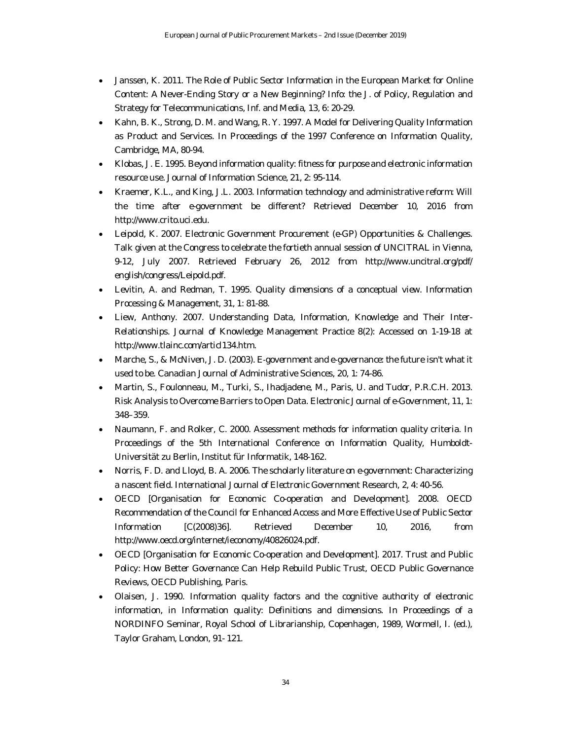- Janssen, K. 2011. The Role of Public Sector Information in the European Market for Online Content: A Never-Ending Story or a New Beginning? *Info*: *the J. of Policy, Regulation and Strategy for Telecommunications, Inf. and Media*, 13, 6: 20-29.
- Kahn, B. K., Strong, D. M. and Wang, R. Y. 1997. A Model for Delivering Quality Information as Product and Services. In *Proceedings of the 1997 Conference on Information Quality*, Cambridge, MA, 80-94.
- Klobas, J. E. 1995. Beyond information quality: fitness for purpose and electronic information resource use. *Journal of Information Science*, 21, 2: 95-114.
- Kraemer, K.L., and King, J.L. 2003. *Information technology and administrative reform*: *Will the time after e*-*government be different?* Retrieved December 10, 2016 from http://www.crito.uci.edu.
- Leipold, K. 2007. *Electronic Government Procurement (e*-*GP) Opportunities & Challenges*. Talk given at the Congress to celebrate the fortieth annual session of UNCITRAL in Vienna, 9-12, July 2007. Retrieved February 26, 2012 from http://www.uncitral.org/pdf/ english/congress/Leipold.pdf.
- Levitin, A. and Redman, T. 1995. Quality dimensions of a conceptual view. *Information Processing & Management*, 31, 1: 81-88.
- Liew, Anthony. 2007. Understanding Data, Information, Knowledge and Their Inter-Relationships. *Journal of Knowledge Management Practice* 8(2): Accessed on 1-19-18 at http://www.tlainc.com/articl134.htm.
- Marche, S., & McNiven, J. D. (2003). E-government and e-governance: the future isn't what it used to be. Canadian Journal of Administrative Sciences, 20, 1: 74-86.
- Martin, S., Foulonneau, M., Turki, S., Ihadjadene, M., Paris, U. and Tudor, P.R.C.H. 2013. Risk Analysis to Overcome Barriers to Open Data. *Electronic Journal of e*-*Government*, 11, 1: 348–359.
- Naumann, F. and Rolker, C. 2000. Assessment methods for information quality criteria. In *Proceedings of the 5th International Conference on Information Quality*, Humboldt-Universität zu Berlin, Institut für Informatik, 148-162.
- Norris, F. D. and Lloyd, B. A. 2006. The scholarly literature on e-government: Characterizing a nascent field. *International Journal of Electronic Government Research*, 2, 4: 40-56.
- OECD [Organisation for Economic Co-operation and Development]. 2008. *OECD Recommendation of the Council for Enhanced Access and More Effective Use of Public Sector Information* [C(2008)36]. Retrieved December 10, 2016, from http://www.oecd.org/internet/ieconomy/40826024.pdf.
- OECD [Organisation for Economic Co-operation and Development]. 2017. *Trust and Public Policy*: *How Better Governance Can Help Rebuild Public Trust, OECD Public Governance Reviews*, OECD Publishing, Paris.
- Olaisen, J. 1990. Information quality factors and the cognitive authority of electronic information, in Information quality: Definitions and dimensions. In *Proceedings of a NORDINFO Seminar, Royal School of Librarianship, Copenhagen, 1989,* Wormell, I. (ed.), Taylor Graham, London, 91- 121.